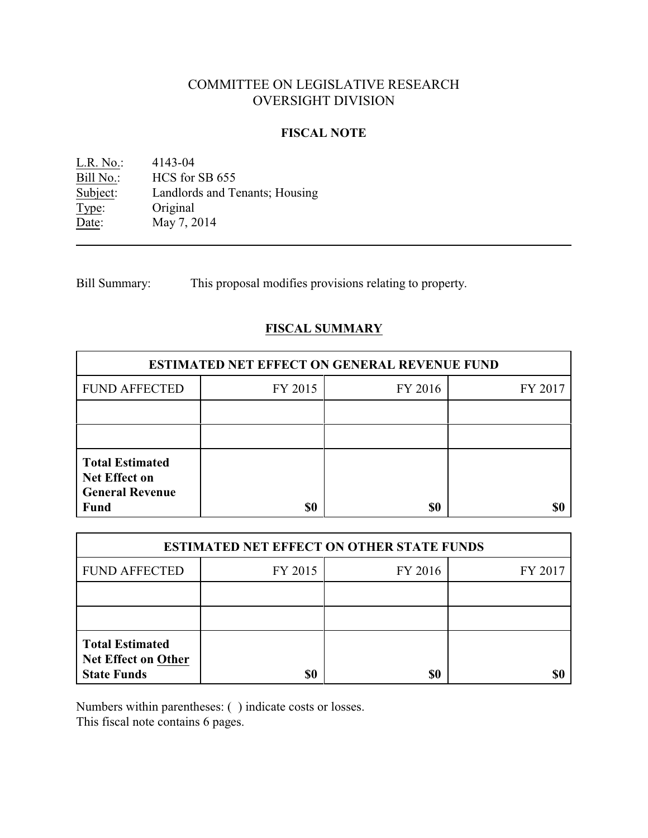# COMMITTEE ON LEGISLATIVE RESEARCH OVERSIGHT DIVISION

### **FISCAL NOTE**

L.R. No.: 4143-04<br>
Bill No.: HCS for Bill No.: HCS for SB 655<br>Subject: Landlords and To Landlords and Tenants; Housing Type: Original Date: May 7, 2014

Bill Summary: This proposal modifies provisions relating to property.

# **FISCAL SUMMARY**

| <b>ESTIMATED NET EFFECT ON GENERAL REVENUE FUND</b>                      |         |         |         |  |
|--------------------------------------------------------------------------|---------|---------|---------|--|
| <b>FUND AFFECTED</b>                                                     | FY 2015 | FY 2016 | FY 2017 |  |
|                                                                          |         |         |         |  |
|                                                                          |         |         |         |  |
| <b>Total Estimated</b><br><b>Net Effect on</b><br><b>General Revenue</b> |         |         |         |  |
| <b>Fund</b>                                                              | \$0     | \$0     |         |  |

| <b>ESTIMATED NET EFFECT ON OTHER STATE FUNDS</b>                           |         |         |         |  |
|----------------------------------------------------------------------------|---------|---------|---------|--|
| <b>FUND AFFECTED</b>                                                       | FY 2015 | FY 2016 | FY 2017 |  |
|                                                                            |         |         |         |  |
|                                                                            |         |         |         |  |
| <b>Total Estimated</b><br><b>Net Effect on Other</b><br><b>State Funds</b> | \$0     | \$0     |         |  |

Numbers within parentheses: ( ) indicate costs or losses.

This fiscal note contains 6 pages.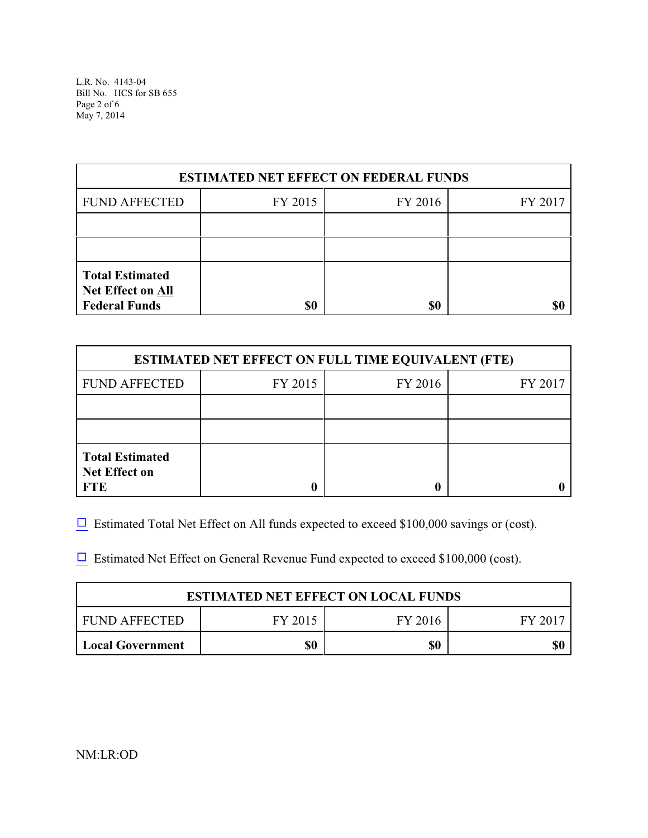L.R. No. 4143-04 Bill No. HCS for SB 655 Page 2 of 6 May 7, 2014

| <b>ESTIMATED NET EFFECT ON FEDERAL FUNDS</b>                               |         |         |         |  |
|----------------------------------------------------------------------------|---------|---------|---------|--|
| <b>FUND AFFECTED</b>                                                       | FY 2015 | FY 2016 | FY 2017 |  |
|                                                                            |         |         |         |  |
|                                                                            |         |         |         |  |
| <b>Total Estimated</b><br><b>Net Effect on All</b><br><b>Federal Funds</b> | \$0     | \$0     |         |  |

| <b>ESTIMATED NET EFFECT ON FULL TIME EQUIVALENT (FTE)</b>    |         |         |         |  |
|--------------------------------------------------------------|---------|---------|---------|--|
| <b>FUND AFFECTED</b>                                         | FY 2015 | FY 2016 | FY 2017 |  |
|                                                              |         |         |         |  |
|                                                              |         |         |         |  |
| <b>Total Estimated</b><br><b>Net Effect on</b><br><b>FTE</b> |         |         |         |  |

 $\Box$  Estimated Total Net Effect on All funds expected to exceed \$100,000 savings or (cost).

 $\Box$  Estimated Net Effect on General Revenue Fund expected to exceed \$100,000 (cost).

| <b>ESTIMATED NET EFFECT ON LOCAL FUNDS</b> |         |         |         |  |
|--------------------------------------------|---------|---------|---------|--|
| FUND AFFECTED                              | FY 2015 | FY 2016 | FY 2017 |  |
| <b>Local Government</b>                    | \$0     | \$0     |         |  |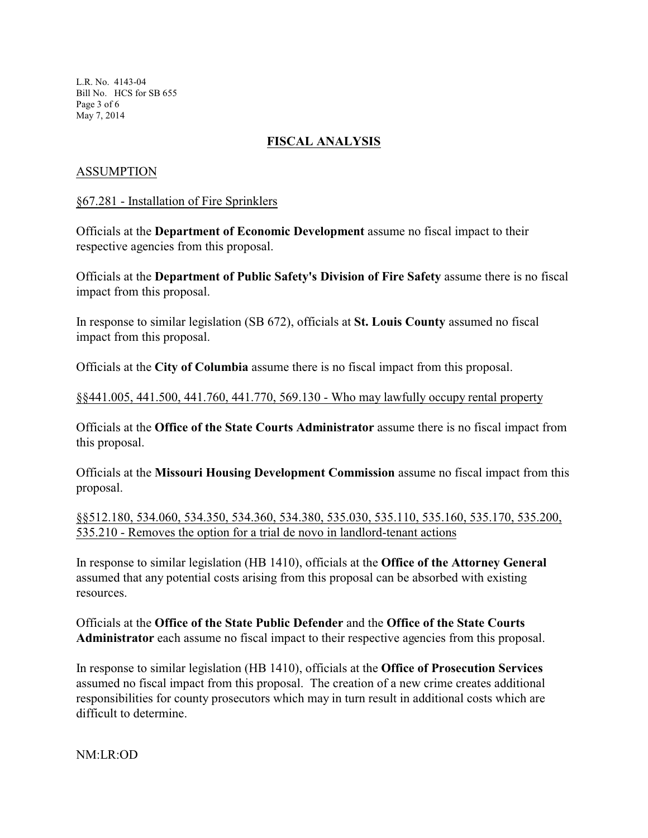L.R. No. 4143-04 Bill No. HCS for SB 655 Page 3 of 6 May 7, 2014

# **FISCAL ANALYSIS**

# ASSUMPTION

### §67.281 - Installation of Fire Sprinklers

Officials at the **Department of Economic Development** assume no fiscal impact to their respective agencies from this proposal.

Officials at the **Department of Public Safety's Division of Fire Safety** assume there is no fiscal impact from this proposal.

In response to similar legislation (SB 672), officials at **St. Louis County** assumed no fiscal impact from this proposal.

Officials at the **City of Columbia** assume there is no fiscal impact from this proposal.

### §§441.005, 441.500, 441.760, 441.770, 569.130 - Who may lawfully occupy rental property

Officials at the **Office of the State Courts Administrator** assume there is no fiscal impact from this proposal.

Officials at the **Missouri Housing Development Commission** assume no fiscal impact from this proposal.

§§512.180, 534.060, 534.350, 534.360, 534.380, 535.030, 535.110, 535.160, 535.170, 535.200, 535.210 - Removes the option for a trial de novo in landlord-tenant actions

In response to similar legislation (HB 1410), officials at the **Office of the Attorney General** assumed that any potential costs arising from this proposal can be absorbed with existing resources.

Officials at the **Office of the State Public Defender** and the **Office of the State Courts Administrator** each assume no fiscal impact to their respective agencies from this proposal.

In response to similar legislation (HB 1410), officials at the **Office of Prosecution Services** assumed no fiscal impact from this proposal. The creation of a new crime creates additional responsibilities for county prosecutors which may in turn result in additional costs which are difficult to determine.

NM:LR:OD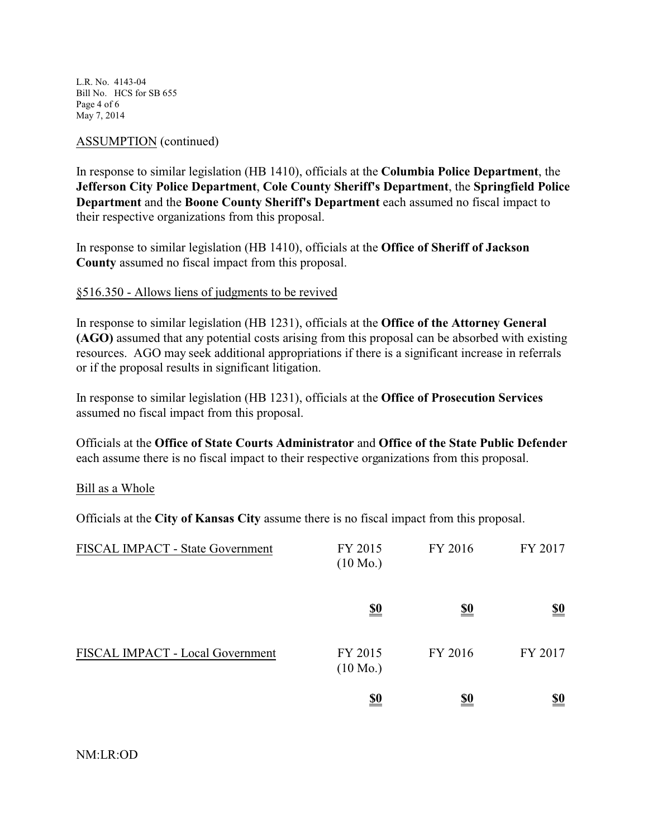L.R. No. 4143-04 Bill No. HCS for SB 655 Page 4 of 6 May 7, 2014

### ASSUMPTION (continued)

In response to similar legislation (HB 1410), officials at the **Columbia Police Department**, the **Jefferson City Police Department**, **Cole County Sheriff's Department**, the **Springfield Police Department** and the **Boone County Sheriff's Department** each assumed no fiscal impact to their respective organizations from this proposal.

In response to similar legislation (HB 1410), officials at the **Office of Sheriff of Jackson County** assumed no fiscal impact from this proposal.

### §516.350 - Allows liens of judgments to be revived

In response to similar legislation (HB 1231), officials at the **Office of the Attorney General (AGO)** assumed that any potential costs arising from this proposal can be absorbed with existing resources. AGO may seek additional appropriations if there is a significant increase in referrals or if the proposal results in significant litigation.

In response to similar legislation (HB 1231), officials at the **Office of Prosecution Services** assumed no fiscal impact from this proposal.

Officials at the **Office of State Courts Administrator** and **Office of the State Public Defender** each assume there is no fiscal impact to their respective organizations from this proposal.

#### Bill as a Whole

Officials at the **City of Kansas City** assume there is no fiscal impact from this proposal.

| FISCAL IMPACT - State Government | FY 2015<br>$(10 \text{ Mo.})$ | FY 2016    | FY 2017                       |
|----------------------------------|-------------------------------|------------|-------------------------------|
|                                  | <u>\$0</u>                    | <u>\$0</u> | $\underline{\underline{\$0}}$ |
| FISCAL IMPACT - Local Government | FY 2015<br>$(10 \text{ Mo.})$ | FY 2016    | FY 2017                       |
|                                  | <u>\$0</u>                    | <u>\$0</u> | <u>\$0</u>                    |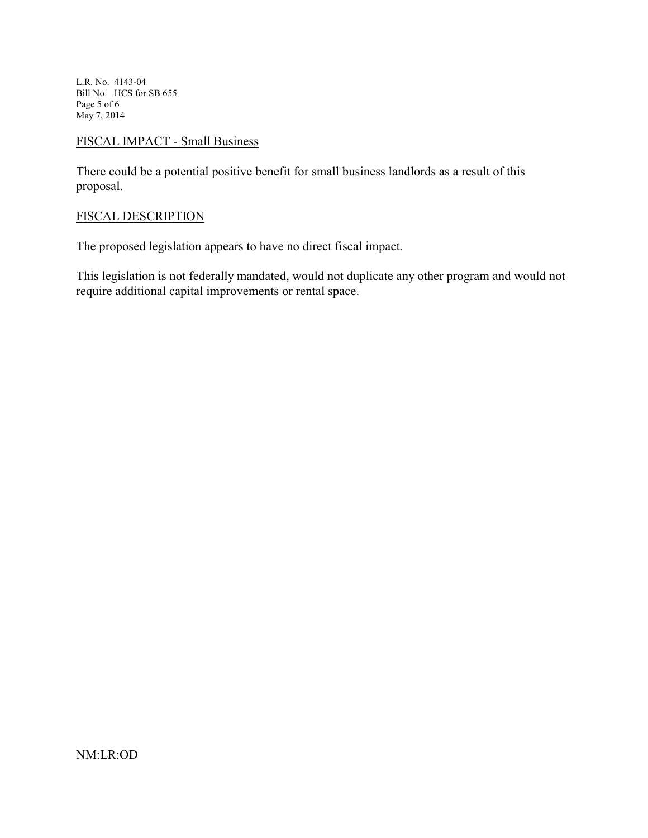L.R. No. 4143-04 Bill No. HCS for SB 655 Page 5 of 6 May 7, 2014

# FISCAL IMPACT - Small Business

There could be a potential positive benefit for small business landlords as a result of this proposal.

# FISCAL DESCRIPTION

The proposed legislation appears to have no direct fiscal impact.

This legislation is not federally mandated, would not duplicate any other program and would not require additional capital improvements or rental space.